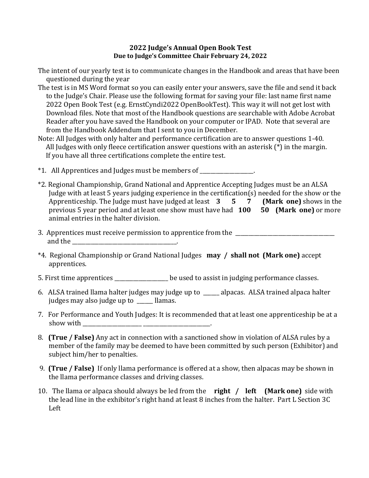## **2022 Judge's Annual Open Book Test Due to Judge's Committee Chair February 24, 2022**

- The intent of our yearly test is to communicate changes in the Handbook and areas that have been questioned during the year
- The test is in MS Word format so you can easily enter your answers, save the file and send it back to the Judge's Chair. Please use the following format for saving your file: last name first name 2022 Open Book Test (e.g. ErnstCyndi2022 OpenBookTest). This way it will not get lost with Download files. Note that most of the Handbook questions are searchable with Adobe Acrobat Reader after you have saved the Handbook on your computer or IPAD. Note that several are from the Handbook Addendum that I sent to you in December.
- Note: All Judges with only halter and performance certification are to answer questions 1-40. All Judges with only fleece certification answer questions with an asterisk (\*) in the margin. If you have all three certifications complete the entire test.

\*1. All Apprentices and Judges must be members of \_\_\_\_\_\_\_\_\_\_\_\_\_\_\_\_\_\_\_\_.

- \*2. Regional Championship, Grand National and Apprentice Accepting Judges must be an ALSA Judge with at least 5 years judging experience in the certification(s) needed for the show or the Apprenticeship. The Judge must have judged at least  $3 \quad 5 \quad 7$  (Mark one) shows in the Apprenticeship. The Judge must have judged at least 3 previous 5 year period and at least one show must have had **100 50 (Mark one)** or more animal entries in the halter division.
- 3. Apprentices must receive permission to apprentice from the and the \_\_\_\_\_\_\_\_\_\_\_\_\_\_\_\_\_\_\_\_\_\_\_\_\_\_\_\_\_\_\_\_\_\_\_\_\_\_\_.
- \*4. Regional Championship or Grand National Judges **may / shall not (Mark one)** accept apprentices.
- 5. First time apprentices \_\_\_\_\_\_\_\_\_\_\_\_\_\_\_\_\_\_\_\_ be used to assist in judging performance classes.
- 6. ALSA trained llama halter judges may judge up to \_\_\_\_\_\_ alpacas. ALSA trained alpaca halter judges may also judge up to llamas.
- 7. For Performance and Youth Judges: It is recommended that at least one apprenticeship be at a show with \_\_\_\_\_\_\_\_\_\_\_\_\_\_\_\_\_\_\_\_\_\_ \_\_\_\_\_\_\_\_\_\_\_\_\_\_\_\_\_\_\_\_\_\_\_\_\_.
- 8. **(True / False)** Any act in connection with a sanctioned show in violation of ALSA rules by a member of the family may be deemed to have been committed by such person (Exhibitor) and subject him/her to penalties.
- 9. **(True / False)** If only llama performance is offered at a show, then alpacas may be shown in the llama performance classes and driving classes.
- 10. The llama or alpaca should always be led from the **right / left (Mark one)** side with the lead line in the exhibitor's right hand at least 8 inches from the halter. Part L Section 3C Left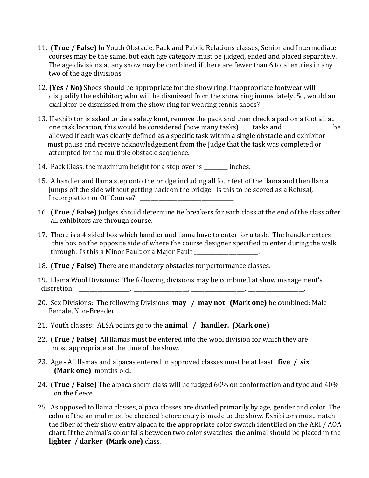- 11. **(True / False)** In Youth Obstacle, Pack and Public Relations classes, Senior and Intermediate courses may be the same, but each age category must be judged, ended and placed separately. The age divisions at any show may be combined **if** there are fewer than 6 total entries in any two of the age divisions.
- 12. **(Yes / No)** Shoes should be appropriate for the show ring. Inappropriate footwear will disqualify the exhibitor; who will be dismissed from the show ring immediately. So, would an exhibitor be dismissed from the show ring for wearing tennis shoes?
- 13. If exhibitor is asked to tie a safety knot, remove the pack and then check a pad on a foot all at one task location, this would be considered (how many tasks) tasks and  $\qquad \qquad$  be allowed if each was clearly defined as a specific task within a single obstacle and exhibitor must pause and receive acknowledgement from the Judge that the task was completed or attempted for the multiple obstacle sequence.
- 14. Pack Class, the maximum height for a step over is enches.
- 15. A handler and llama step onto the bridge including all four feet of the llama and then llama jumps off the side without getting back on the bridge. Is this to be scored as a Refusal, Incompletion or Off Course?
- 16. **(True / False)** Judges should determine tie breakers for each class at the end of the class after all exhibitors are through course.
- 17. There is a 4 sided box which handler and llama have to enter for a task. The handler enters this box on the opposite side of where the course designer specified to enter during the walk through. Is this a Minor Fault or a Major Fault \_\_\_\_\_\_\_\_\_\_\_\_\_\_\_\_\_\_\_\_\_\_\_\_.
- 18. **(True / False)** There are mandatory obstacles for performance classes.
- 19. Llama Wool Divisions: The following divisions may be combined at show management's discretion; \_\_\_\_\_\_\_\_\_\_\_\_\_\_\_\_\_\_\_, \_\_\_\_\_\_\_\_\_\_\_\_\_\_\_\_\_\_\_\_, \_\_\_\_\_\_\_\_\_\_\_\_\_\_\_\_\_\_\_\_, \_\_\_\_\_\_\_\_\_\_\_\_\_\_\_\_\_\_\_\_\_.
- 20. Sex Divisions: The following Divisions **may / may not (Mark one)** be combined: Male Female, Non-Breeder
- 21. Youth classes: ALSA points go to the **animal / handler. (Mark one)**
- 22. **(True / False)** All llamas must be entered into the wool division for which they are most appropriate at the time of the show.
- 23. Age All llamas and alpacas entered in approved classes must be at least **five / six (Mark one)** months old**.**
- 24. **(True / False)** The alpaca shorn class will be judged 60% on conformation and type and 40% on the fleece.
- 25. As opposed to llama classes, alpaca classes are divided primarily by age, gender and color. The color of the animal must be checked before entry is made to the show. Exhibitors must match the fiber of their show entry alpaca to the appropriate color swatch identified on the ARI / AOA chart. If the animal's color falls between two color swatches, the animal should be placed in the **lighter / darker (Mark one)** class.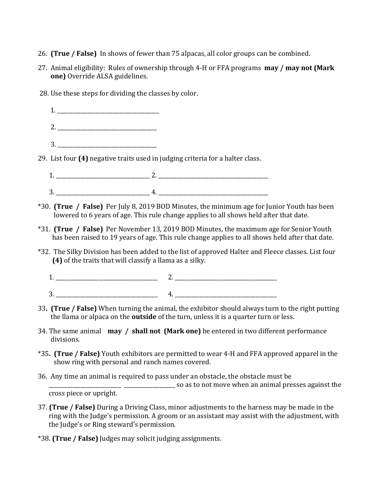- 26. **(True / False)** In shows of fewer than 75 alpacas, all color groups can be combined.
- 27. Animal eligibility: Rules of ownership through 4-H or FFA programs **may / may not (Mark one)** Override ALSA guidelines.
- 28. Use these steps for dividing the classes by color.
- $1.$ 2.  $\blacksquare$  $3.$ 29. List four **(4)** negative traits used in judging criteria for a halter class. 1. \_\_\_\_\_\_\_\_\_\_\_\_\_\_\_\_\_\_\_\_\_\_\_\_\_\_\_\_\_\_\_\_\_\_\_ 2. \_\_\_\_\_\_\_\_\_\_\_\_\_\_\_\_\_\_\_\_\_\_\_\_\_\_\_\_\_\_\_\_\_\_\_\_\_\_\_\_\_
	- 3. \_\_\_\_\_\_\_\_\_\_\_\_\_\_\_\_\_\_\_\_\_\_\_\_\_\_\_\_\_\_\_\_\_\_\_ 4. \_\_\_\_\_\_\_\_\_\_\_\_\_\_\_\_\_\_\_\_\_\_\_\_\_\_\_\_\_\_\_\_\_\_\_\_\_\_\_\_\_
- \*30. **(True / False)** Per July 8, 2019 BOD Minutes, the minimum age for Junior Youth has been lowered to 6 years of age. This rule change applies to all shows held after that date.
- \*31. **(True / False)** Per November 13, 2019 BOD Minutes, the maximum age for Senior Youth has been raised to 19 years of age. This rule change applies to all shows held after that date.
- \*32. The Silky Division has been added to the list of approved Halter and Fleece classes. List four **(4)** of the traits that will classify a llama as a silky.
	- 1. \_\_\_\_\_\_\_\_\_\_\_\_\_\_\_\_\_\_\_\_\_\_\_\_\_\_\_\_\_\_\_\_\_\_\_\_\_\_ 2. \_\_\_\_\_\_\_\_\_\_\_\_\_\_\_\_\_\_\_\_\_\_\_\_\_\_\_\_\_\_\_\_\_\_\_\_\_\_ 3. \_\_\_\_\_\_\_\_\_\_\_\_\_\_\_\_\_\_\_\_\_\_\_\_\_\_\_\_\_\_\_\_\_\_\_\_\_\_ 4. \_\_\_\_\_\_\_\_\_\_\_\_\_\_\_\_\_\_\_\_\_\_\_\_\_\_\_\_\_\_\_\_\_\_\_\_\_\_
- 33**. (True / False)** When turning the animal, the exhibitor should always turn to the right putting the llama or alpaca on the **outside** of the turn, unless it is a quarter turn or less.
- 34. The same animal **may / shall not (Mark one)** be entered in two different performance divisions.
- \*35**. (True / False)** Youth exhibitors are permitted to wear 4-H and FFA approved apparel in the show ring with personal and ranch names covered.
- 36. Any time an animal is required to pass under an obstacle, the obstacle must be  $\frac{1}{1}$  so as to not move when an animal presses against the cross piece or upright.
- 37. **(True / False)** During a Driving Class, minor adjustments to the harness may be made in the ring with the Judge's permission. A groom or an assistant may assist with the adjustment, with the Judge's or Ring steward's permission.
- \*38. **(True / False)** Judges may solicit judging assignments.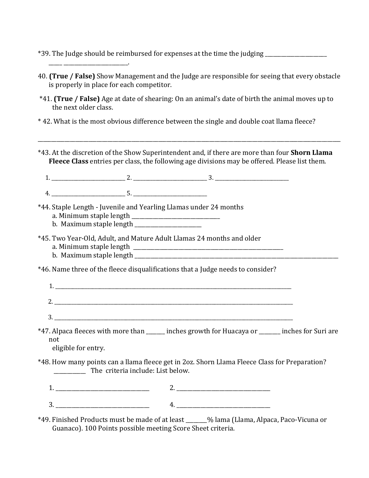\*39. The Judge should be reimbursed for expenses at the time the judging \_\_\_\_\_\_\_\_\_\_\_\_\_\_\_\_\_\_\_\_\_\_\_

- 40. **(True / False)** Show Management and the Judge are responsible for seeing that every obstacle is properly in place for each competitor.
- \*41. **(True / False)** Age at date of shearing: On an animal's date of birth the animal moves up to the next older class.
- \* 42. What is the most obvious difference between the single and double coat llama fleece?
- \*43. At the discretion of the Show Superintendent and, if there are more than four **Shorn Llama Fleece Class** entries per class, the following age divisions may be offered. Please list them.

\_\_\_\_\_\_\_\_\_\_\_\_\_\_\_\_\_\_\_\_\_\_\_\_\_\_\_\_\_\_\_\_\_\_\_\_\_\_\_\_\_\_\_\_\_\_\_\_\_\_\_\_\_\_\_\_\_\_\_\_\_\_\_\_\_\_\_\_\_\_\_\_\_\_\_\_\_\_\_\_\_\_\_\_\_\_\_\_\_\_\_\_\_\_\_\_\_\_\_\_\_\_\_\_\_\_\_\_\_\_\_\_\_

1. \_\_\_\_\_\_\_\_\_\_\_\_\_\_\_\_\_\_\_\_\_\_\_\_\_\_\_\_\_\_ 2. \_\_\_\_\_\_\_\_\_\_\_\_\_\_\_\_\_\_\_\_\_\_\_\_\_\_\_\_\_\_ 3. \_\_\_\_\_\_\_\_\_\_\_\_\_\_\_\_\_\_\_\_\_\_\_\_\_\_\_\_\_\_

 $4. \t\t\t 5.$ 

- \*44. Staple Length Juvenile and Yearling Llamas under 24 months
	- a. Minimum staple length \_\_\_\_\_\_\_\_\_\_\_\_\_\_\_\_\_\_\_\_\_\_\_\_\_\_\_\_\_\_\_\_\_

\_\_\_\_\_ \_\_\_\_\_\_\_\_\_\_\_\_\_\_\_\_\_\_\_\_\_\_\_\_.

- b. Maximum staple length
- \*45. Two Year-Old, Adult, and Mature Adult Llamas 24 months and older a. Minimum staple length \_\_\_\_\_\_\_\_\_\_\_\_\_\_\_\_\_\_\_\_\_\_\_\_\_\_\_\_\_\_\_\_\_\_\_\_\_\_\_\_\_\_\_\_\_\_\_\_\_\_\_\_\_\_\_\_
	- b. Maximum staple length

\*46. Name three of the fleece disqualifications that a Judge needs to consider?

|  |      | ______ |
|--|------|--------|
|  |      |        |
|  | ____ |        |

\*47. Alpaca fleeces with more than \_\_\_\_\_\_\_ inches growth for Huacaya or \_\_\_\_\_\_\_\_ inches for Suri are not

eligible for entry.

\*48. How many points can a llama fleece get in 2oz. Shorn Llama Fleece Class for Preparation? The criteria include: List below.

1. \_\_\_\_\_\_\_\_\_\_\_\_\_\_\_\_\_\_\_\_\_\_\_\_\_\_\_\_\_\_\_\_\_\_\_ 2. \_\_\_\_\_\_\_\_\_\_\_\_\_\_\_\_\_\_\_\_\_\_\_\_\_\_\_\_\_\_\_\_\_\_\_ 3. \_\_\_\_\_\_\_\_\_\_\_\_\_\_\_\_\_\_\_\_\_\_\_\_\_\_\_\_\_\_\_\_\_\_\_ 4. \_\_\_\_\_\_\_\_\_\_\_\_\_\_\_\_\_\_\_\_\_\_\_\_\_\_\_\_\_\_\_\_\_\_\_

\*49. Finished Products must be made of at least \_\_\_\_\_\_\_\_% lama (Llama, Alpaca, Paco-Vicuna or Guanaco). 100 Points possible meeting Score Sheet criteria.